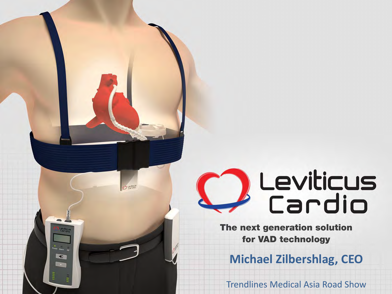# Leviticus<br>Cardio

C Levice

 $\blacktriangleleft$ 

The next generation solution for VAD technology

**Michael Zilbershlag, CEO**

Trendlines Medical Asia Road Show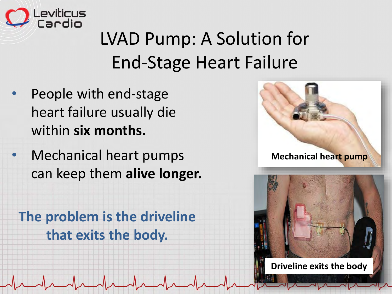

### LVAD Pump: A Solution for End-Stage Heart Failure

- People with end-stage heart failure usually die within **six months.**
- Mechanical heart pumps can keep them **alive longer.**





**The problem is the driveline that exits the body.**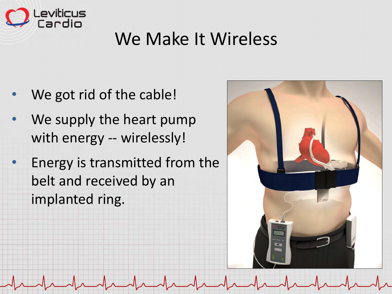

#### We Make It Wireless

- We got rid of the cable!
- We supply the heart pump with energy -- wirelessly!
- Energy is transmitted from the belt and received by an implanted ring.

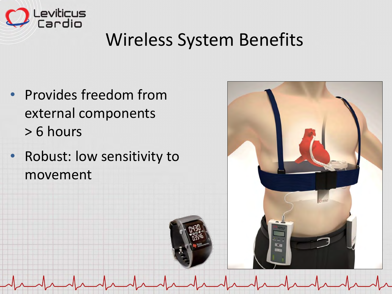

#### Wireless System Benefits

- Provides freedom from external components > 6 hours
- Robust: low sensitivity to movement

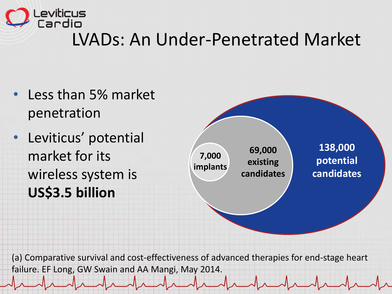

#### LVADs: An Under-Penetrated Market

- Less than 5% market penetration
- Leviticus' potential market for its wireless system is **US\$3.5 billion**



(a) Comparative survival and cost-effectiveness of advanced therapies for end-stage heart failure. EF Long, GW Swain and AA Mangi, May 2014.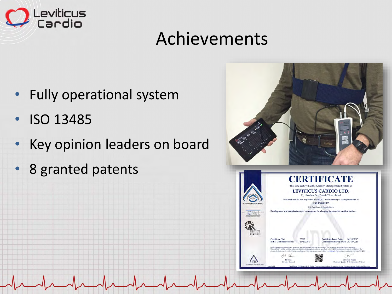

#### Achievements

- Fully operational system
- ISO 13485
- Key opinion leaders on board
- 8 granted patents

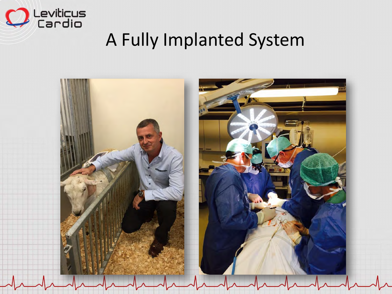

#### A Fully Implanted System

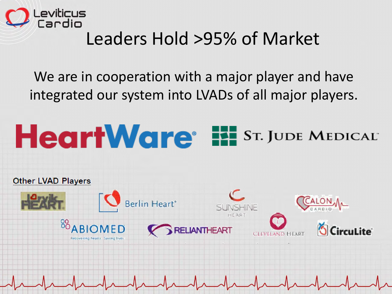

#### Leaders Hold >95% of Market

We are in cooperation with a major player and have integrated our system into LVADs of all major players.

#### **HeartWare<sup>®</sup> EE ST. JUDE MEDICAL**

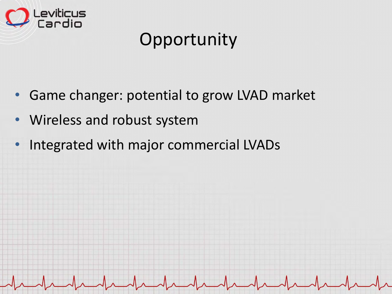

### **Opportunity**

- Game changer: potential to grow LVAD market
- Wireless and robust system
- Integrated with major commercial LVADs